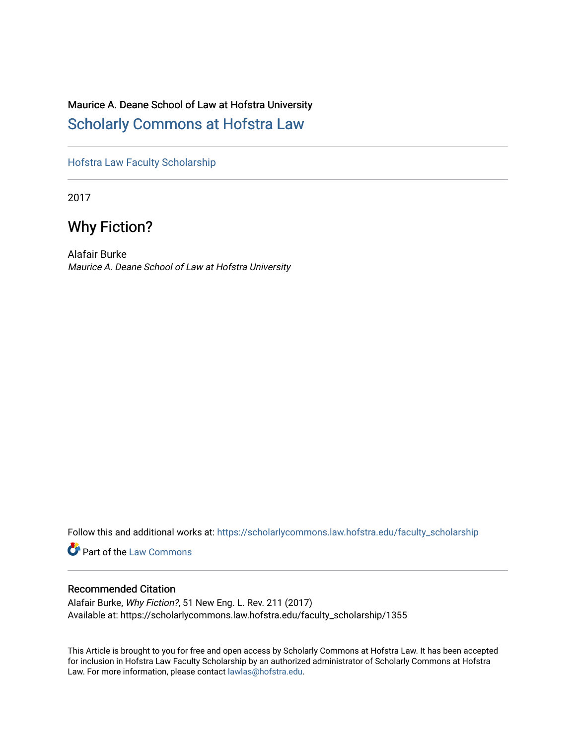## Maurice A. Deane School of Law at Hofstra University [Scholarly Commons at Hofstra Law](https://scholarlycommons.law.hofstra.edu/)

[Hofstra Law Faculty Scholarship](https://scholarlycommons.law.hofstra.edu/faculty_scholarship) 

2017

# Why Fiction?

Alafair Burke Maurice A. Deane School of Law at Hofstra University

Follow this and additional works at: [https://scholarlycommons.law.hofstra.edu/faculty\\_scholarship](https://scholarlycommons.law.hofstra.edu/faculty_scholarship?utm_source=scholarlycommons.law.hofstra.edu%2Ffaculty_scholarship%2F1355&utm_medium=PDF&utm_campaign=PDFCoverPages)

**C** Part of the [Law Commons](http://network.bepress.com/hgg/discipline/578?utm_source=scholarlycommons.law.hofstra.edu%2Ffaculty_scholarship%2F1355&utm_medium=PDF&utm_campaign=PDFCoverPages)

## Recommended Citation

Alafair Burke, Why Fiction?, 51 New Eng. L. Rev. 211 (2017) Available at: https://scholarlycommons.law.hofstra.edu/faculty\_scholarship/1355

This Article is brought to you for free and open access by Scholarly Commons at Hofstra Law. It has been accepted for inclusion in Hofstra Law Faculty Scholarship by an authorized administrator of Scholarly Commons at Hofstra Law. For more information, please contact [lawlas@hofstra.edu.](mailto:lawlas@hofstra.edu)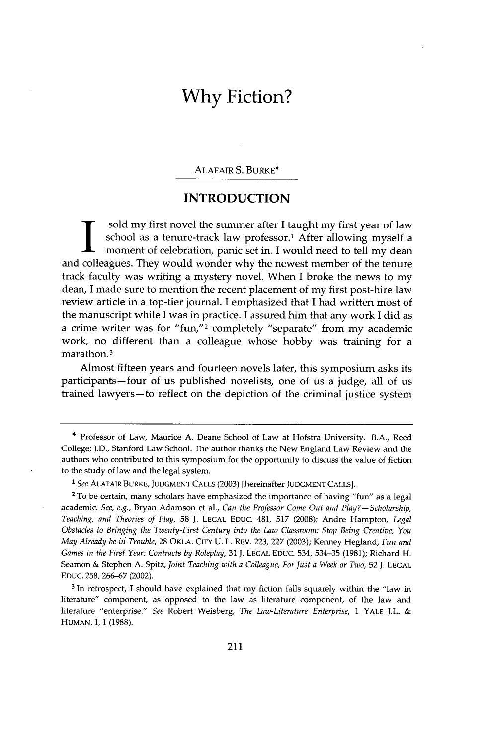## **Why Fiction?**

#### ALAFAIR **S.** BURKE\*

### **INTRODUCTION**

sold my first novel the summer after **I** taught my first year of law school as a tenure-track law professor.<sup>1</sup> After allowing myself a moment of celebration, panic set in. **I** would need to tell my dean and colleagues. They would wonder why the newest member of the tenure track faculty was writing a mystery novel. When I broke the news to my dean, I made sure to mention the recent placement of my first post-hire law review article in a top-tier journal. **I** emphasized that **I** had written most of the manuscript while **I** was in practice. I assured him that any work **I** did as a crime writer was for **"fun,"2** completely "separate" from my academic work, no different than a colleague whose hobby was training for a marathon.3

Almost fifteen years and fourteen novels later, this symposium asks its participants-four of us published novelists, one of us a judge, all of us trained lawyers-to reflect on the depiction of the criminal justice system

**<sup>\*</sup>** Professor of Law, Maurice **A.** Deane School of Law at Hofstra University. B.A., Reed College; **J.D.,** Stanford Law School. The author thanks the New England Law Review and the authors who contributed to this symposium for the opportunity to discuss the value of fiction to the study of law and the legal system.

**<sup>1</sup>***See* ALAFAIR BURKE, **JUDGMENT CALLS (2003)** [hereinafter **JUDGMENT CALLS].**

**<sup>2</sup>**To be certain, many scholars have emphasized the importance of having **"fun"** as a legal academic. *See, e.g.,* Bryan Adamson et al., *Can the Professor Come Out and Play? - Scholarship*, *Teaching, and Theories of Play,* **58 J. LEGAL** EDUC. 481, **517 (2008);** Andre Hampton, *Legal Obstacles to Bringing the Twenty-First Century into the Law Classroom: Stop Being Creative, You May Already be in Trouble,* **28** OKLA. CITY **U.** L. REV. **223, 227 (2003);** Kenney Hegland, *Fun and Games in the First Year: Contracts by Roleplay, 31* **J. LEGAL** EDuc. 534, **534-35 (1981);** Richard H. Seamon **&** Stephen **A.** Spitz, *Joint Teaching with a Colleague, For Just a Week or Two, 52* **J. LEGAL** EDUC. **258, 266-67** (2002).

**<sup>3</sup>** In retrospect, **I** should have explained that my fiction falls squarely within the "law in literature" component, as opposed to the law as literature component, of the law and literature "enterprise." *See* Robert Weisberg, *The Law-Literature Enterprise,* 1 YALE J.L. **HUMAN. 1, 1 (1988).**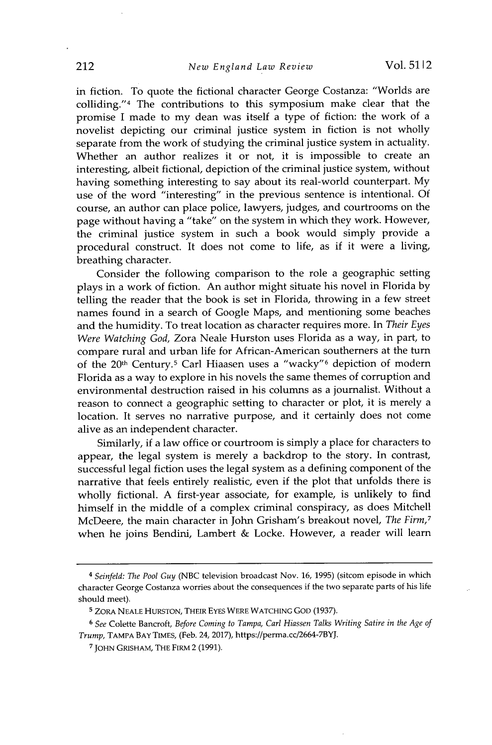in fiction. To quote the fictional character George Costanza: "Worlds are colliding."<sup>4</sup> The contributions to this symposium make clear that the promise **I** made to my dean was itself a type of fiction: the work of a novelist depicting our criminal justice system in fiction is not wholly separate from the work of studying the criminal justice system in actuality. Whether an author realizes it or not, it is impossible to create an interesting, albeit fictional, depiction of the criminal justice system, without having something interesting to say about its real-world counterpart. **My** use of the word "interesting" in the previous sentence is intentional. **Of** course, an author can place police, lawyers, judges, and courtrooms on the page without having a "take" on the system in which they work. However, the criminal justice system in such a book would simply provide a procedural construct. It does not come to life, as if it were a living, breathing character.

Consider the following comparison to the role a geographic setting plays in a work of fiction. An author might situate his novel in Florida **by** telling the reader that the book is set in Florida, throwing in a few street names found in a search of Google Maps, and mentioning some beaches and the humidity. To treat location as character requires more. In *Their Eyes Were Watching God,* Zora Neale Hurston uses Florida as a way, in part, to compare rural and urban life for African-American southerners at the turn of the 20<sup>th</sup> Century.<sup>5</sup> Carl Hiaasen uses a "wacky"<sup>6</sup> depiction of modern Florida as a way to explore in his novels the same themes of corruption and environmental destruction raised in his columns as a journalist. Without a reason to connect a geographic setting to character or plot, it is merely a location. It serves no narrative purpose, and it certainly does not come alive as an independent character.

Similarly, if a law office or courtroom is simply a place for characters to appear, the legal system is merely a backdrop to the story. In contrast, successful legal fiction uses the legal system as a defining component of the narrative that feels entirely realistic, even if the plot that unfolds there is wholly fictional. **A** first-year associate, for example, is unlikely to find himself in the middle of a complex criminal conspiracy, as does Mitchell McDeere, the main character in John Grisham's breakout novel, *The Firm,<sup>7</sup>* when he joins Bendini, Lambert **&** Locke. However, a reader will learn

*<sup>4</sup>Seinfeld: The Pool Guy* **(NBC** television broadcast Nov. **16, 1995)** (sitcom episode in which character George Costanza worries about the consequences if the two separate parts of his life should meet).

**<sup>5</sup>** ZORA **NEALE HURSTON,** THEIR **EYES** WERE **WATCHING GOD (1937).**

**<sup>6</sup>***See* Colette Bancroft, *Before Coming to Tampa, Carl Hiassen Talks Writing Satire in the Age of Trump,* TAMPA BAY **TIMES,** (Feb. 24, **2017),** https://perma.cc/2664-7BYJ.

**<sup>7</sup> JOHN** GRISHAM, THE FIRM 2 **(1991).**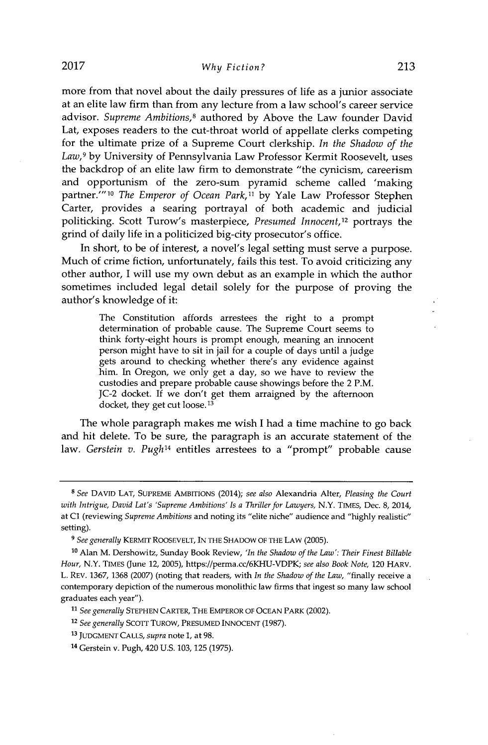more from that novel about the daily pressures of life as a junior associate at an elite law firm than from any lecture from a law school's career service advisor. *Supreme Ambitions,8* authored **by** Above the Law founder David Lat, exposes readers to the cut-throat world of appellate clerks competing for the ultimate prize of a Supreme Court clerkship. *In the Shadow of the Law,9* **by** University of Pennsylvania Law Professor Kermit Roosevelt, uses the backdrop of an elite law firm to demonstrate "the cynicism, careerism and opportunism of the zero-sum pyramid scheme called 'making partner."<sup>10</sup> The Emperor of Ocean Park,<sup>11</sup> by Yale Law Professor Stephen Carter, provides a searing portrayal of both academic and judicial politicking. Scott Turow's masterpiece, Presumed Innocent,<sup>12</sup> portrays the grind of daily life in a politicized big-city prosecutor's office.

In short, to be of interest, a novel's legal setting must serve a purpose. Much of crime fiction, unfortunately, fails this test. To avoid criticizing any other author, I will use my own debut as an example in which the author sometimes included legal detail solely for the purpose of proving the author's knowledge of it:

> The Constitution affords arrestees the right to a prompt determination of probable cause. The Supreme Court seems to think forty-eight hours is prompt enough, meaning an innocent person might have to sit in jail for a couple of days until a judge gets around to checking whether there's any evidence against him. In Oregon, we only get a day, so we have to review the custodies and prepare probable cause showings before the 2 P.M. **JC-2** docket. **If** we don't get them arraigned **by** the afternoon docket, they get cut loose.13

The whole paragraph makes me wish **I** had a time machine to go back and hit delete. To be sure, the paragraph is an accurate statement of the law. Gerstein v. Pugh<sup>14</sup> entitles arrestees to a "prompt" probable cause

*<sup>8</sup>See* **DAVID** LAT, **SUPREME** AMBITIONS (2014); *see also* Alexandria Alter, *Pleasing the Court with Intrigue, David Lat's 'Supreme Ambitions' Is a Thriller for Lawyers,* N.Y. TIMES, Dec. **8,** 2014, at **Cl** (reviewing *Supreme Ambitions* and noting its "elite niche" audience and **"highly** realistic" setting).

*<sup>9</sup> See generally* KERMIT ROOSEVELT, IN THE SHADOW OF THE LAW **(2005).**

**<sup>10</sup>**Alan M. Dershowitz, Sunday Book Review, *'In the Shadow of the Law': Their Finest Billable Hour,* N.Y. **TIMES** (June 12, **2005),** https://perma.cc/6KHU-VDPK; *see also Book Note,* 120 HARV. L. REV. **1367, 1368 (2007)** (noting that readers, with *In the Shadow of the Law,* "finally receive a contemporary depiction of the numerous monolithic law firms that ingest so many law school graduates each year").

*<sup>11</sup>See generally* **STEPHEN** CARTER, THE EMPEROR OF **OCEAN** PARK (2002).

*<sup>12</sup>See generally* SCOTT TUROW, **PRESUMED INNOCENT (1987).**

**<sup>13</sup>JUDGMENT CALLS,** *supra* note **1,** at **98.**

**<sup>14</sup>**Gerstein v. Pugh, 420 **U.S. 103, 125 (1975).**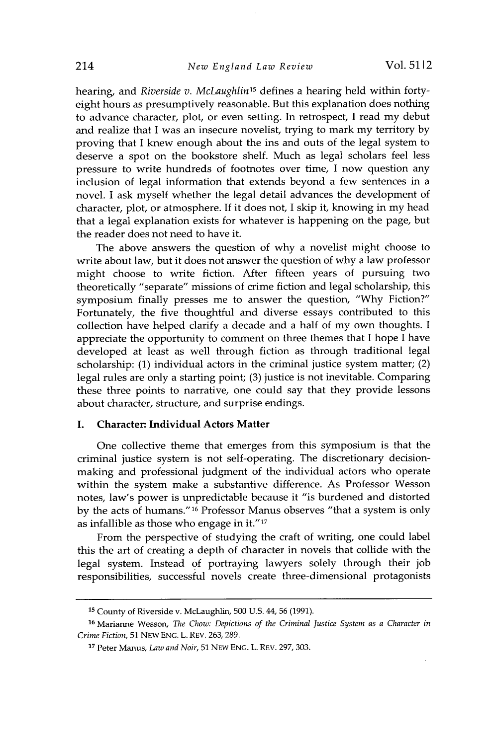hearing, and *Riverside v. McLaughlin15* defines a hearing held within fortyeight hours as presumptively reasonable. But this explanation does nothing to advance character, plot, or even setting. In retrospect, **I** read my debut and realize that **I** was an insecure novelist, trying to mark my territory **by** proving that **I** knew enough about the ins and outs of the legal system to deserve a spot on the bookstore shelf. Much as legal scholars feel less pressure to write hundreds of footnotes over time, **I** now question any inclusion of legal information that extends beyond a few sentences in a novel. **I** ask myself whether the legal detail advances the development of character, plot, or atmosphere. **If** it does not, I skip it, knowing in my head that a legal explanation exists for whatever is happening on the page, but the reader does not need to have it.

The above answers the question of why a novelist might choose to write about law, but it does not answer the question of why a law professor might choose to write fiction. After fifteen years of pursuing two theoretically "separate" missions of crime fiction and legal scholarship, this symposium finally presses me to answer the question, **"Why** Fiction?" Fortunately, the five thoughtful and diverse essays contributed to this collection have helped clarify a decade and a half of my own thoughts. **<sup>I</sup>** appreciate the opportunity to comment on three themes that **I** hope I have developed at least as well through fiction as through traditional legal scholarship: **(1)** individual actors in the criminal justice system matter; (2) legal rules are only a starting point; **(3)** justice is not inevitable. Comparing these three points to narrative, one could say that they provide lessons about character, structure, and surprise endings.

#### **I. Character: Individual Actors Matter**

One collective theme that emerges from this symposium is that the criminal justice system is not self-operating. The discretionary decisionmaking and professional judgment of the individual actors who operate within the system make a substantive difference. As Professor Wesson notes, law's power is unpredictable because it "is burdened and distorted **by** the acts of humans."16 Professor Manus observes "that a system is only as infallible as those who engage in it." $17$ 

From the perspective of studying the craft of writing, one could label this the art of creating a depth of character in novels that collide with the legal system. Instead of portraying lawyers solely through their **job** responsibilities, successful novels create three-dimensional protagonists

**<sup>15</sup>**County of Riverside v. McLaughlin, **500 U.S.** 44, **56 (1991).**

**<sup>16</sup>**Marianne Wesson, *The Chow: Depictions of the Criminal Justice System as a Character in Crime Fiction,* **51** NEw **ENG.** L. REV. **263, 289.**

**<sup>17</sup>** Peter Manus, *Law and Noir,* **51** NEw **ENG.** L. REV. **297, 303.**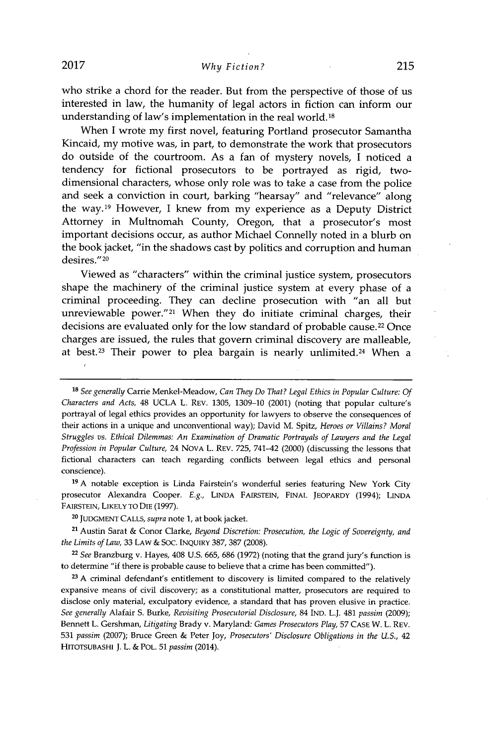who strike a chord for the reader. But from the perspective of those of us interested in law, the humanity of legal actors in fiction can inform our understanding of law's implementation in the real world.<sup>18</sup>

When **I** wrote my first novel, featuring Portland prosecutor Samantha Kincaid, my motive was, in part, to demonstrate the work that prosecutors do outside of the courtroom. As a fan of mystery novels, I noticed a tendency for fictional prosecutors to be portrayed as rigid, twodimensional characters, whose only role was to take a case from the police and seek a conviction in court, barking "hearsay" and "relevance" along the way.<sup>19</sup> However, I knew from my experience as a Deputy District Attorney in Multnomah County, Oregon, that a prosecutor's most important decisions occur, as author Michael Connelly noted in a blurb on the book jacket, "in the shadows cast **by** politics and corruption and human desires."<sup>20</sup>

Viewed as "characters" within the criminal justice system, prosecutors shape the machinery of the criminal justice system at every phase of a criminal proceeding. They can decline prosecution with "an all but unreviewable power."<sup>21</sup> When they do initiate criminal charges, their decisions are evaluated only for the low standard of probable cause.<sup>22</sup> Once charges are issued, the rules that govern criminal discovery are malleable, at best.<sup>23</sup> Their power to plea bargain is nearly unlimited.<sup>24</sup> When a

*<sup>18</sup>See generally* Carrie Menkel-Meadow, *Can They Do That? Legal Ethics in Popular Culture: Of Characters and Acts,* 48 **UCLA** L. REV. **1305, 1309-10** (2001) (noting that popular culture's portrayal of legal ethics provides an opportunity for lawyers to observe the consequences of their actions in a unique and unconventional way); David M. Spitz, *Heroes or Villains? Moral Struggles vs. Ethical Dilemmas: An Examination of Dramatic Portrayals of Lawyers and the Legal Profession in Popular Culture,* 24 **NOVA** L. REV. **725,** 741-42 (2000) (discussing the lessons that fictional characters can teach regarding conflicts between legal ethics and personal conscience).

**<sup>19</sup>A** notable exception is Linda Fairstein's wonderful series featuring New York City prosecutor Alexandra Cooper. *E.g.,* **LINDA** FAIRSTEIN, **FINAL** JEOPARDY (1994); **LINDA FAIRSTEIN,** LIKELY TO **DIE (1997).**

<sup>20</sup>**JUDGMENT CALLS,** *supra* note **1,** at book jacket.

**<sup>21</sup>**Austin Sarat *&* Conor Clarke, *Beyond Discretion: Prosecution, the Logic of Sovereignty, and the Limits of Law,* **33** LAw *&* **Soc.** INQUIRY **387, 387 (2008).**

**<sup>22</sup>***See* Branzburg v. Hayes, 408 **U.S. 665, 686 (1972)** (noting that the grand jury's function is to determine "if there is probable cause to believe that a crime has been committed").

**<sup>23</sup><sup>A</sup>**criminal defendant's entitlement to discovery is limited compared to the relatively expansive means of civil discovery; as a constitutional matter, prosecutors are required to disclose only material, exculpatory evidence, a standard that has proven elusive in practice. *See generally* Alafair **S.** Burke, *Revisiting Prosecutorial Disclosure,* 84 IND. L.J. 481 *passim (2009);* Bennett L. Gershman, *Litigating* Brady v. Maryland: *Games Prosecutors Play,* **57 CASE** W. L. REV. *531 passim* **(2007);** Bruce Green *&* Peter Joy, *Prosecutors' Disclosure Obligations in the U.S.,* 42 **HITOTSUBASHI J.** L. *&* POL. **51** *passim* (2014).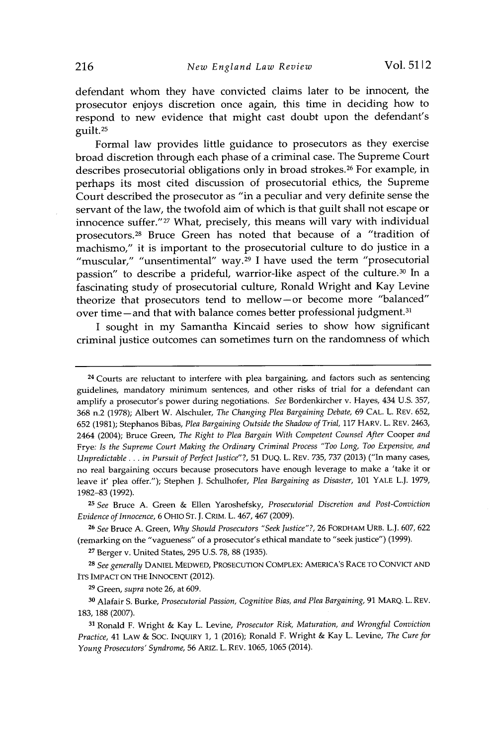defendant whom they have convicted claims later to be innocent, the prosecutor enjoys discretion once again, this time in deciding how to respond to new evidence that might cast doubt upon the defendant's guilt. 25

Formal law provides little guidance to prosecutors as they exercise broad discretion through each phase of a criminal case. The Supreme Court describes prosecutorial obligations only in broad strokes.<sup>26</sup> For example, in perhaps its most cited discussion of prosecutorial ethics, the Supreme Court described the prosecutor as "in a peculiar and very definite sense the servant of the law, the twofold aim of which is that guilt shall not escape or innocence suffer."<sup>27</sup> What, precisely, this means will vary with individual prosecutors.<sup>28</sup> Bruce Green has noted that because of a "tradition of machismo," it is important to the prosecutorial culture to do justice in a "muscular," "unsentimental" way.29 **I** have used the term "prosecutorial passion" to describe a prideful, warrior-like aspect of the culture.<sup>30</sup> In a fascinating study of prosecutorial culture, Ronald Wright and Kay Levine theorize that prosecutors tend to mellow-or become more "balanced" over time-and that with balance comes better professional judgment.<sup>31</sup>

I sought in my Samantha Kincaid series to show how significant criminal justice outcomes can sometimes turn on the randomness of which

**<sup>25</sup>***See* Bruce **A.** Green **&** Ellen Yaroshefsky, *Prosecutorial Discretion and Post-Conviction Evidence of Innocence,* **6** OHIO **ST. J.** CRIM. L. 467, 467 **(2009).**

**<sup>26</sup>***See* Bruce **A.** Green, *Why Should Prosecutors "Seek Justice"?,* **26** FORDHAM URB. L.J. **607, 622** (remarking on the "vagueness" of a prosecutor's ethical mandate to "seek justice") **(1999).**

**<sup>27</sup>**Berger v. United States, **295 U.S. 78, 88 (1935).**

*<sup>2</sup> <sup>8</sup>See generally* **DANIEL** MEDWED, **PROSECUTION** COMPLEX: AMERICA'S RACE TO CONVICT **AND ITS** IMPACT **ON** THE **INNOCENT** (2012).

**<sup>29</sup>**Green, *supra* note **26,** at **609.**

**<sup>30</sup>**Alafair **S.** Burke, *Prosecutorial Passion, Cognitive Bias, and Plea Bargaining,* **91 MARQ.** L. REV. **183, 188 (2007).**

**<sup>31</sup>**Ronald F. Wright **&** Kay L. Levine, *Prosecutor Risk, Maturation, and Wrongful Conviction Practice,* 41 LAW *&* **Soc. INQUIRY 1, 1 (2016);** Ronald F. Wright **&** Kay L. Levine, *The Cure for Young Prosecutors' Syndrome,* **56** ARIZ. L. REV. **1065, 1065** (2014).

**<sup>24</sup>**Courts are reluctant to interfere with plea bargaining, and factors such as sentencing guidelines, mandatory minimum sentences, and other risks of trial for a defendant can amplify a prosecutor's power during negotiations. *See* Bordenkircher v. Hayes, 434 **U.S. 357, 368** n.2 **(1978);** Albert W. Alschuler, *The Changing Plea Bargaining Debate, 69* **CAL.** L. REv. **652, 652 (1981);** Stephanos Bibas, *Plea Bargaining Outside the Shadow of Trial,* **117** HARV. L. REV. 2463, 2464 (2004); Bruce Green, *The Right to Plea Bargain With Competent Counsel After Cooper and* Frye: *Is the Supreme Court Making the Ordinary Criminal Process "Too Long, Too Expensive, and Unpredictable* **. ..** *in Pursuit of Perfect Justice"?,* **51** DUQ. L. REV. **735, 737 (2013)** ("In many cases, no real bargaining occurs because prosecutors have enough leverage to make a 'take it or leave it' plea offer."); Stephen **J.** Schulhofer, *Plea Bargaining as Disaster, 101* YALE L.J. **1979, 1982-83 (1992).**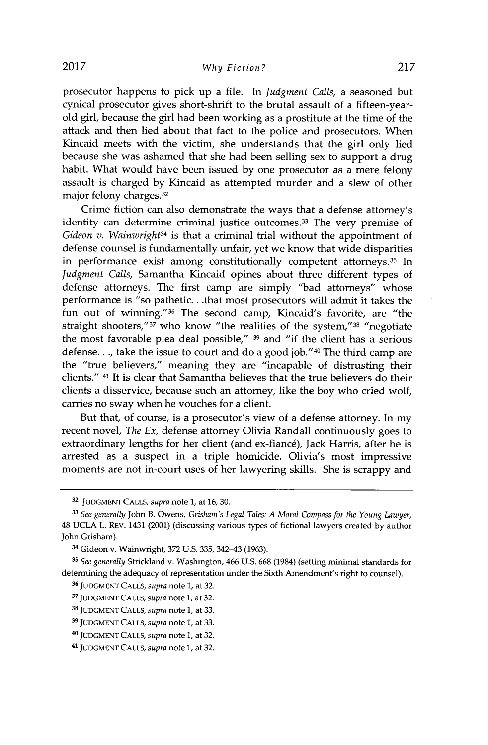prosecutor happens to pick up a file. In *Judgment Calls,* a seasoned but cynical prosecutor gives short-shrift to the brutal assault of a fifteen-yearold girl, because the girl had been working as a prostitute at the time of the attack and then lied about that fact to the police and prosecutors. When Kincaid meets with the victim, she understands that the girl only lied because she was ashamed that she had been selling sex to support a drug habit. What would have been issued **by** one prosecutor as a mere felony assault is charged **by** Kincaid as attempted murder and a slew of other major felony charges. <sup>32</sup>

Crime fiction can also demonstrate the ways that a defense attorney's identity can determine criminal justice outcomes.<sup>33</sup> The very premise of *Gideon v. Wainwright<sup>34</sup>*is that a criminal trial without the appointment of defense counsel is fundamentally unfair, yet we know that wide disparities in performance exist among constitutionally competent attorneys. $35$  In *Judgment Calls,* Samantha Kincaid opines about three different types **of** defense attorneys. The first camp are simply "bad attorneys" whose performance is "so pathetic.. .that most prosecutors will admit it takes the fun out of winning."<sup>36</sup> The second camp, Kincaid's favorite, are "the straight shooters," $37$  who know "the realities of the system," $38$  "negotiate the most favorable plea deal possible," **39** and "if the client has a serious defense. **. .,** take the issue to court and do a good **job." 40** The third camp are the "true believers," meaning they are "incapable of distrusting their clients." 41 It is clear that Samantha believes that the true believers do their clients a disservice, because such an attorney, like the boy who cried wolf, carries no sway when he vouches for a client.

But that, of course, is a prosecutor's view of a defense attorney. In my recent novel, *The Ex,* defense attorney Olivia Randall continuously goes to extraordinary lengths for her client (and ex-fiancé), Jack Harris, after he is arrested as a suspect in a triple homicide. Olivia's most impressive moments are not in-court uses of her lawyering skills. She is scrappy and

**<sup>32</sup> JUDGMENT CALLS,** *supra* note **1,** at **16, 30.**

*<sup>3</sup>See generally* John B. Owens, *Grisham's Legal Tales: A Moral Compass for the Young Lawyer,* 48 **UCLA** L. REV. 1431 (2001) (discussing various types of fictional lawyers created **by** author John Grisham).

<sup>3</sup>Gideon v. Wainwright, **372 U.S. 335,** 342-43 **(1963).**

*<sup>3</sup>s See generally* Strickland v. Washington, 466 **U.S. 668** (1984) (setting minimal standards for determining the adequacy of representation under the Sixth Amendment's right to counsel).

**<sup>36</sup> JUDGMENT CALLS,** *supra* note **1,** at **32.**

**<sup>3 7</sup> JUDGMENT CALLS,** *supra* note **1,** at **32.**

**<sup>38</sup> JUDGMENT CALLS,** *supra* note **1,** at **33.**

**<sup>3</sup>JUDGMENT CALLS,** *supra* note **1,** at **33.**

<sup>40</sup>**JUDGMENT CALLS,** *supra* note **1,** at **32.**

**<sup>41</sup>JUDGMENT CALLS,** *supra* note **1,** at **32.**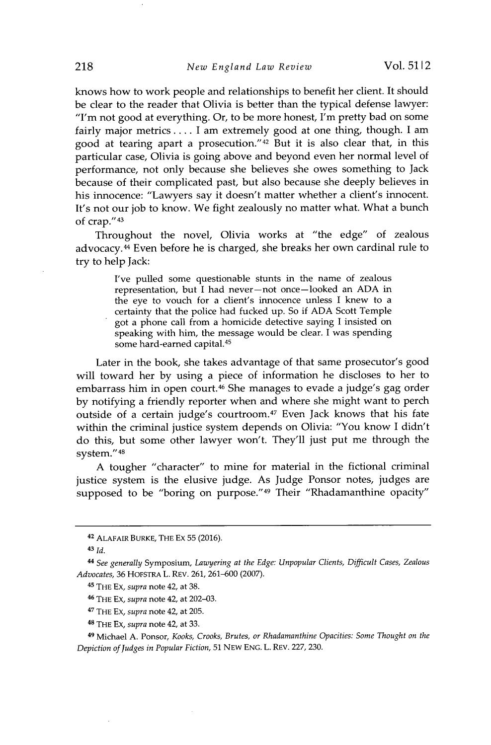knows how to work people and relationships to benefit her client. It should be clear to the reader that Olivia is better than the typical defense lawyer: "I'm not good at everything. Or, to be more honest, I'm pretty bad on some fairly major metrics **....** I am extremely good at one thing, though. **I** am good at tearing apart a prosecution."<sup>42</sup> But it is also clear that, in this particular case, Olivia is going above and beyond even her normal level of performance, not only because she believes she owes something to Jack because of their complicated past, but also because she deeply believes in his innocence: "Lawyers say it doesn't matter whether a client's innocent. It's not our **job** to know. We fight zealously no matter what. What a bunch of crap." <sup>43</sup>

Throughout the novel, Olivia works at "the edge" of zealous advocacy.<sup>44</sup> Even before he is charged, she breaks her own cardinal rule to try to help Jack:

> I've pulled some questionable stunts in the name of zealous representation, but **I** had never-not once-looked an **ADA** in the eye to vouch for a client's innocence unless **I** knew to a certainty that the police had fucked up. So if **ADA** Scott Temple got a phone call from a homicide detective saying **I** insisted on speaking with him, the message would be clear. **I** was spending some hard-earned capital. <sup>45</sup>

Later in the **book,** she takes advantage of that same prosecutor's good will toward her **by** using a piece of information he discloses to her to embarrass him in open court.<sup>46</sup> She manages to evade a judge's gag order **by** notifying a friendly reporter when and where she might want to perch outside of a certain judge's courtroom.<sup>47</sup> Even Jack knows that his fate within the criminal justice system depends on Olivia: "You know I didn't do this, but some other lawyer won't. They'll just put me through the system." <sup>48</sup>

**A** tougher "character" to mine for material in the fictional criminal justice system is the elusive judge. As Judge Ponsor notes, judges are supposed to be "boring on purpose."<sup>49</sup> Their "Rhadamanthine opacity"

<sup>42</sup>ALAFAIR BURKE, THE Ex **55 (2016).**

 $43$  *Id.* 

*<sup>4</sup> See generally* Symposium, *Lawyering at the Edge: Unpopular Clients, Difficult Cases, Zealous Advocates,* **36** HOFSTRA L. REv. **261, 261-600 (2007).**

<sup>45</sup>THE **Ex,** *supra* note 42, at **38.**

<sup>46</sup> THE **Ex,** *supra* note 42, at **202-03.**

<sup>4</sup>THE Ex, *supra* note 42, at **205.**

**<sup>48</sup>**THE **Ex,** *supra* note 42, at **33.**

<sup>49</sup> Michael A. Ponsor, *Kooks, Crooks, Brutes, or Rhadamanthine Opacities: Some Thought on the Depiction of Judges in Popular Fiction,* **51 NEW ENG.** L. REV. **227, 230.**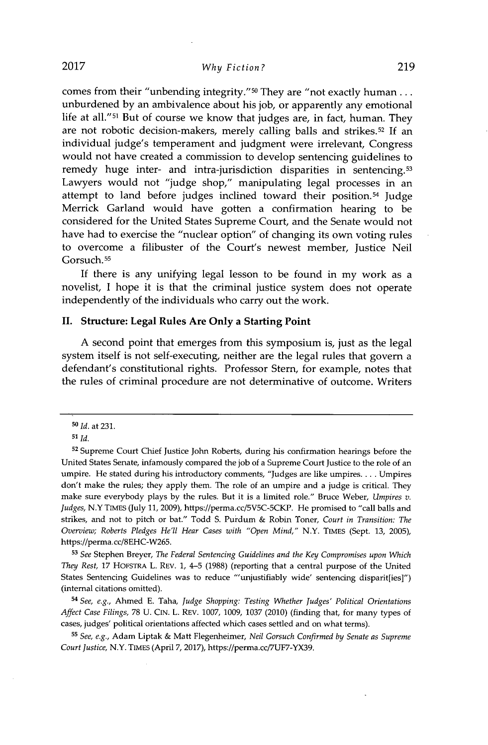comes from their "unbending integrity."<sup>50</sup>They are "not exactly human **...** unburdened **by** an ambivalence about his **job,** or apparently any emotional life at all."51 But of course we know that judges are, in fact, human. They are not robotic decision-makers, merely calling balls and strikes.<sup>52</sup> If an individual judge's temperament and judgment were irrelevant, Congress would not have created a commission to develop sentencing guidelines to remedy huge inter- and intra-jurisdiction disparities in sentencing.<sup>53</sup> Lawyers would not "judge shop," manipulating legal processes in an attempt to land before judges inclined toward their position.<sup>54</sup> Judge Merrick Garland would have gotten a confirmation hearing to be considered for the United States Supreme Court, and the Senate would not have had to exercise the "nuclear option" of changing its own voting rules to overcome a filibuster of the Court's newest member, Justice Neil Gorsuch.<sup>55</sup>

If there is any unifying legal lesson to be found in my work as a novelist, **I** hope it is that the criminal justice system does not operate independently of the individuals who carry out the work.

#### **II.** Structure: Legal Rules Are Only a Starting Point

**A** second point that emerges from this symposium is, just as the legal system itself is not self-executing, neither are the legal rules that govern a defendant's constitutional rights. Professor Stern, for example, notes that the rules of criminal procedure are not determinative of outcome. Writers

*s3 See* Stephen Breyer, *The Federal Sentencing Guidelines and the Key Compromises upon Which They Rest,* **17** HOFSTRA L. REV. **1,** 4-5 **(1988)** (reporting that a central purpose of the United States Sentencing Guidelines was to reduce "'unjustifiably wide' sentencing disparit[ies]") (internal citations omitted).

*s4 See, e.g.,* Ahmed **E.** Taha, *Judge Shopping: Testing Whether Judges' Political Orientations Affect Case Filings,* **78 U. CIN.** L. REV. **1007, 1009, 1037** (2010) (finding that, for many types of cases, judges' political orientations affected which cases settled and on what terms).

ss *See, e.g.,* Adam Liptak **&** Matt Flegenheimer, *Neil Gorsuch Confirmed by Senate as Supreme Court Justice,* N.Y. **TIMES** (April **7, 2017),** https://perma.cc/7UF7-YX39.

**<sup>50</sup>***Id. at* **231.**

**<sup>51</sup>** *Id.*

**<sup>52</sup>**Supreme Court Chief Justice John Roberts, during his confirmation hearings before the United States Senate, infamously compared the **job** of a Supreme Court Justice to the role of an umpire. He stated during his introductory comments, "Judges are like umpires.... Umpires don't make the rules; they apply them. The role of an umpire and a judge is critical. They make sure everybody plays **by** the rules. But it is a limited role." Bruce Weber, *Umpires v. Judges,* N.Y **TIMES (July 11, 2009),** https://perma.cc/5V5C-5CKP. He promised to "call balls and strikes, and not to pitch or bat." Todd **S.** Purdum **&** Robin Toner, *Court in Transition: The Overview; Roberts Pledges He'll Hear Cases with "Open Mind,"* N.Y. **TIMES** (Sept. **13, 2005),** *https://perma.cc/8EHC-W265.*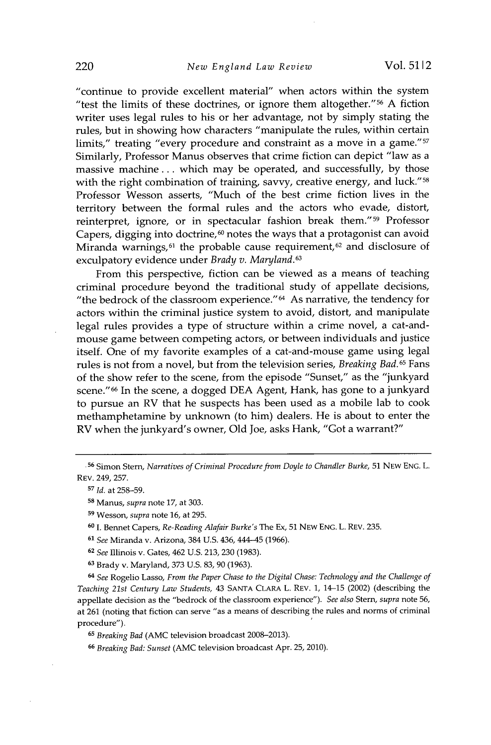"continue to provide excellent material" when actors within the system "test the limits of these doctrines, or ignore them altogether."5 6 **A** fiction writer uses legal rules to his or her advantage, not **by** simply stating the rules, but in showing how characters "manipulate the rules, within certain limits," treating "every procedure and constraint as a move in a game."<sup>57</sup> Similarly, Professor Manus observes that crime fiction can depict "law as a massive machine **...** which may be operated, and successfully, **by** those with the right combination of training, savvy, creative energy, and luck."<sup>58</sup> Professor Wesson asserts, "Much of the best crime fiction lives in the territory between the formal rules and the actors who evade, distort, reinterpret, ignore, or in spectacular fashion break them."<sup>59</sup> Professor Capers, digging into doctrine, $60$  notes the ways that a protagonist can avoid Miranda warnings,  $61$  the probable cause requirement,  $62$  and disclosure of exculpatory evidence under *Brady v. Maryland.<sup>63</sup>*

From this perspective, fiction can be viewed as a means of teaching criminal procedure beyond the traditional study of appellate decisions, "the bedrock of the classroom experience." $64$  As narrative, the tendency for actors within the criminal justice system to avoid, distort, and manipulate legal rules provides a type of structure within a crime novel, a cat-andmouse game between competing actors, or between individuals and justice itself. One of my favorite examples of a cat-and-mouse game using legal rules is not from a novel, but from the television series, *Breaking Bad.<sup>6</sup>5* Fans of the show refer to the scene, from the episode "Sunset," as the "junkyard scene."<sup>66</sup> In the scene, a dogged DEA Agent, Hank, has gone to a junkyard to pursue an RV that he suspects has been used as a mobile lab to cook methamphetamine **by** unknown (to him) dealers. He is about to enter the RV when the junkyard's owner, **Old** Joe, asks Hank, "Got a warrant?"

**<sup>62</sup>***See* Illinois v. Gates, 462 **U.S. 213, 230 (1983).**

**<sup>63</sup>**Brady v. Maryland, **373 U.S. 83, 90 (1963).**

<sup>64</sup>*See* Rogelio Lasso, *From the Paper Chase to the Digital Chase: Technology and the Challenge of Teaching 21st Century Law Students,* 43 **SANTA** CLARA L. REV. **1,** 14-15 (2002) (describing the appellate decision as the "bedrock of the classroom experience"). *See also Stem, supra* note **56,** at **261** (noting that fiction can serve "as a means of describing the rules and norms of criminal procedure").

**<sup>65</sup>***Breaking Bad* **(AMC** television broadcast **2008-2013).**

**<sup>66</sup>***Breaking Bad: Sunset* **(AMC** television broadcast Apr. **25,** 2010).

**<sup>.56</sup>** Simon Stern, *Narratives of Criminal Procedure from Doyle to Chandler Burke,* **51** NEw **ENG.** L. REV. 249, **257.**

**s7** *Id.* at **258-59.**

**<sup>58</sup>**Manus, *supra* note **17,** at **303.**

**<sup>9</sup>**Wesson, *supra* note **16,** at **295.**

**<sup>60</sup>I.** Bennet Capers, *Re-Reading Alafair Burke's* The Ex, **51** NEw **ENG.** L. REV. **235.**

**<sup>61</sup>***See* Miranda v. Arizona, 384 **U.S.** 436, 444-45 **(1966).**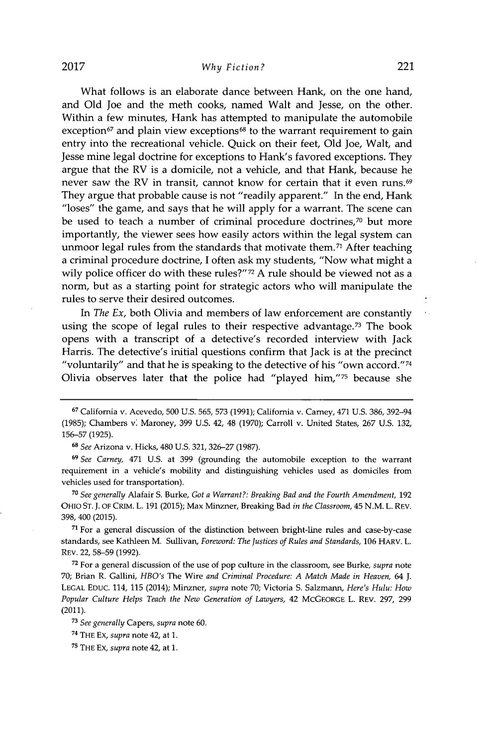### *Why Fiction?* **2017** 221

What follows is an elaborate dance between Hank, on the one hand, and **Old** Joe and the meth cooks, named Walt and Jesse, on the other. Within a few minutes, Hank has attempted to manipulate the automobile exception<sup>67</sup> and plain view exceptions<sup>68</sup> to the warrant requirement to gain entry into the recreational vehicle. Quick on their feet, **Old** Joe, Walt, and Jesse mine legal doctrine for exceptions to Hank's favored exceptions. They argue that the RV is a domicile, not a vehicle, and that Hank, because he never saw the RV in transit, cannot know for certain that it even runs.<sup>69</sup> They argue that probable cause is not "readily apparent." In the end, Hank "loses" the game, and says that he will apply for a warrant. The scene can be used to teach a number of criminal procedure doctrines,<sup>70</sup> but more importantly, the viewer sees how easily actors within the legal system can unmoor legal rules from the standards that motivate them.<sup>71</sup> After teaching a criminal procedure doctrine, **I** often ask my students, "Now what might a wily police officer do with these rules?"<sup>72</sup> A rule should be viewed not as a norm, but as a starting point for strategic actors who will manipulate the rules to serve their desired outcomes.

In *The Ex,* both Olivia and members of law enforcement are constantly using the scope of legal rules to their respective advantage.<sup>73</sup> The book opens with a transcript of a detective's recorded interview with Jack Harris. The detective's initial questions confirm that Jack is at the precinct "voluntarily" and that he is speaking to the detective of his "own accord." <sup>74</sup> Olivia observes later that the police had "played him,"75 because she

*<sup>68</sup>See* Arizona v. Hicks, 480 **U.S. 321, 326-27 (1987).**

**<sup>69</sup>***See Carney,* 471 **U.S.** at **399** (grounding the automobile exception to the warrant requirement in a vehicle's mobility and distinguishing vehicles used as domiciles from vehicles used for transportation).

*<sup>70</sup>See generally* Alafair **S.** Burke, *Got a Warrant?: Breaking Bad and the Fourth Amendment,* **192** OHIO **ST. J.** OF CRIM. L. **191 (2015);** Max Minzner, Breaking Bad *in the Classroom,* 45 **N.M.** L. REV. **398,** 400 **(2015).**

**<sup>71</sup>**For a general discussion of the distinction between bright-line rules and case-by-case standards, see Kathleen M. Sullivan, *Foreword: The Justices of Rules and Standards,* **106** HARV. L. REV. 22, **58-59 (1992).**

**<sup>72</sup>**For a general discussion of the use of pop culture in the classroom, see Burke, *supra* note **70;** Brian R. Gallini, *HBO's* The Wire *and Criminal Procedure: A Match Made in Heaven, 64* **J. LEGAL EDUC.** 114, **115** (2014); Minzner, *supra* note **70;** Victoria **S.** Salzmann, *Here's Hulu: How Popular Culture Helps Teach the New Generation of Lawyers,* 42 MCGEORGE L. REV. **297, 299** (2011).

**<sup>7</sup>***See generally Capers, supra* note **60.**

<sup>7</sup>THE **Ex,** *supra* note 42, at **1.**

75 THE **Ex,** *supra* note 42, at **1.**

**<sup>67</sup>**California v. Acevedo, **500 U.S. 565, 573 (1991);** California v. Carney, 471 **U.S. 386,** 392-94 **(1985);** Chambers v. Maroney, **399 U.S.** 42, 48 **(1970);** Carroll v. United States, **267 U.S. 132, 156-57 (1925).**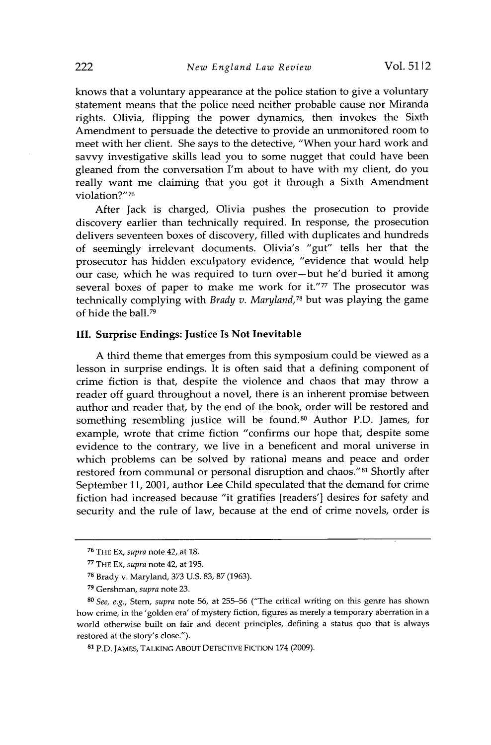knows that a voluntary appearance at the police station to give a voluntary statement means that the police need neither probable cause nor Miranda rights. Olivia, flipping the power dynamics, then invokes the Sixth Amendment to persuade the detective to provide an unmonitored room to meet with her client. She says to the detective, "When your hard work and savvy investigative skills lead you to some nugget that could have been gleaned from the conversation I'm about to have with my client, do you really want me claiming that you got it through a Sixth Amendment violation?"<sup>76</sup>

After Jack is charged, Olivia pushes the prosecution to provide discovery earlier than technically required. In response, the prosecution delivers seventeen boxes of discovery, filled with duplicates and hundreds of seemingly irrelevant documents. Olivia's "gut" tells her that the prosecutor has hidden exculpatory evidence, "evidence that would help our case, which he was required to turn over-but he'd buried it among several boxes of paper to make me work for it."77 The prosecutor was technically complying with *Brady v. Maryland,<sup>7</sup> <sup>8</sup>*but was playing the game of hide the ball.<sup>79</sup>

#### **III.** Surprise **Endings: Justice Is Not Inevitable**

**A** third theme that emerges from this symposium could be viewed as a lesson in surprise endings. It is often said that a defining component of crime fiction is that, despite the violence and chaos that may throw a reader off guard throughout a novel, there is an inherent promise between author and reader that, **by** the end of the book, order will be restored and something resembling justice will be found.<sup>80</sup> Author P.D. James, for example, wrote that crime fiction "confirms our hope that, despite some evidence to the contrary, we live in a beneficent and moral universe in which problems can be solved **by** rational means and peace and order restored from communal or personal disruption and chaos."<sup>81</sup> Shortly after September **11,** 2001, author Lee Child speculated that the demand for crime fiction had increased because "it gratifies [readers'] desires for safety and security and the rule of law, because at the end of crime novels, order is

**<sup>76</sup>**THE **Ex,** *supra* note 42, at **18.**

**<sup>7</sup>**THE **Ex,** *supra* note 42, at **195.**

**<sup>78</sup>**Brady v. Maryland, **373 U.S. 83, 87 (1963).**

**<sup>7</sup>**Gershman, *supra* note **23.**

*<sup>80</sup>See, e.g., Stem, supra* note **56,** at **255-56** ("The critical writing on this genre has shown how crime, in the 'golden era' of mystery fiction, figures as merely a temporary aberration in a world otherwise built on fair and decent principles, defining a status quo that is always restored at the story's close.").

**<sup>8 1</sup>**P.D. JAMES, **TALKING ABOUT DETECTIVE** FICTION 174 **(2009).**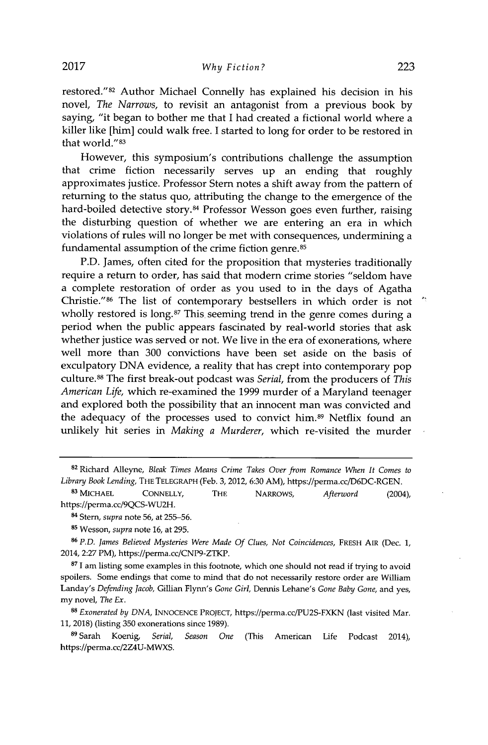restored."<sup>82</sup> Author Michael Connelly has explained his decision in his novel, *The Narrows,* to revisit an antagonist from a previous book **by** saying, "it began to bother me that **I** had created a fictional world where a killer like [him] could walk free. **I** started to long for order to be restored in that world."<sup>83</sup>

However, this symposium's contributions challenge the assumption that crime fiction necessarily serves up an ending that roughly approximates justice. Professor Stem notes a shift away from the pattern of returning to the status quo, attributing the change to the emergence of the hard-boiled detective story.<sup>84</sup> Professor Wesson goes even further, raising the disturbing question of whether we are entering an era in which violations of rules will no longer be met with consequences, undermining a fundamental assumption of the crime fiction genre.<sup>85</sup>

P.D. James, often cited for the proposition that mysteries traditionally require a return to order, has said that modern crime stories "seldom have a complete restoration of order as you used to in the days of Agatha Christie."<sup>86</sup> The list of contemporary bestsellers in which order is not wholly restored is long. $87$  This seeming trend in the genre comes during a period when the public appears fascinated **by** real-world stories that ask whether justice was served or not. We live in the era of exonerations, where well more than **300** convictions have been set aside on the basis of exculpatory **DNA** evidence, a reality that has crept into contemporary pop culture.<sup>88</sup>The first break-out podcast was *Serial,* from the producers of *This American Life,* which re-examined the **1999** murder of a Maryland teenager and explored both the possibility that an innocent man was convicted and the adequacy of the processes used to convict him.<sup>89</sup> Netflix found an unlikely hit series in *Making a Murderer,* which re-visited the murder

**<sup>82</sup>**Richard Alleyne, *Bleak Times Means Crime Takes Over from Romance When It Comes to Library Book Lending,* THE TELEGRAPH (Feb. **3,** 2012, **6:30** AM), https://perma.cc/D6DC-RGEN.

**<sup>83</sup>MICHAEL CONNELLY,** THE NARROWs, *Afterword* (2004), *https://perma.cc/9QCS-WU2H.*

<sup>8</sup>Stem, *supra* note **56,** at **255-56.**

**<sup>85</sup>**Wesson, *supra* note **16,** at **295.**

**<sup>86</sup>***P.D. James Believed Mysteries Were Made Of Clues, Not Coincidences,* FRESH AIR (Dec. **1,** 2014, **2:27** PM), *https://perma.cc/CNP9-ZTKP.*

**<sup>87</sup>**am listing some examples in this footnote, which one should not read if trying to avoid spoilers. Some endings that come to mind that do not necessarily restore order are William Landay's *Defending Jacob,* Gillian Flynn's *Gone Girl,* Dennis Lehane's *Gone Baby Gone,* and yes, my novel, *The Ex.*

*<sup>88</sup>Exonerated by DNA,* **INNOCENCE** PROJECT, https://perma.cc/PU2S-FXKN (last visited Mar. **11, 2018)** (listing **350** exonerations since **1989).**

**<sup>89</sup>**Sarah Koenig, *Serial, Season One* (This American Life Podcast 2014), https://perma.cc/2Z4U-MWXS.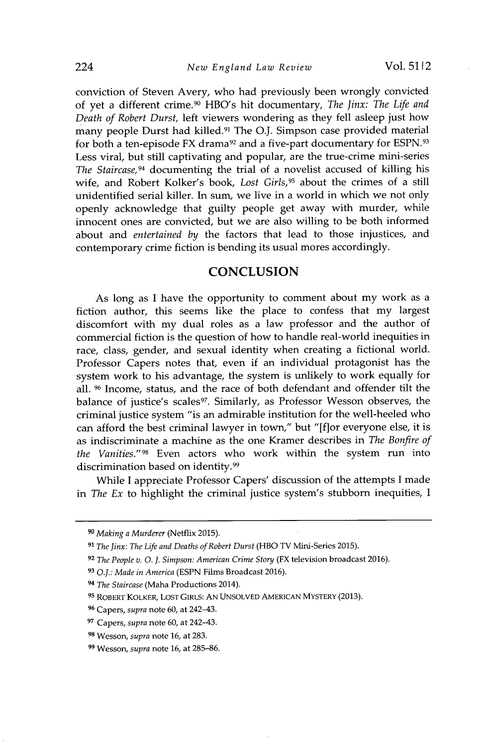conviction of Steven Avery, who had previously been wrongly convicted of yet a different crime.<sup>90</sup> HBO's hit documentary, *The Jinx: The Life and Death of Robert Durst,* left viewers wondering as they fell asleep just how many people Durst had killed.<sup>9</sup> ' The **O.J.** Simpson case provided material for both a ten-episode FX drama<sup>92</sup> and a five-part documentary for ESPN.<sup>93</sup> Less viral, but still captivating and popular, are the true-crime mini-series *The Staircase,<sup>94</sup>*documenting the trial of a novelist accused of killing his wife, and Robert Kolker's book, *Lost Girls,<sup>95</sup>*about the crimes of a still unidentified serial killer. In sum, we live in a world in which we not only openly acknowledge that guilty people get away with murder, while innocent ones are convicted, but we are also willing to be both informed about and *entertained by* the factors that lead to those injustices, and contemporary crime fiction is bending its usual mores accordingly.

## **CONCLUSION**

As long as **I** have the opportunity to comment about my work as a fiction author, this seems like the place to confess that my largest discomfort with my dual roles as a law professor and the author of commercial fiction is the question of how to handle real-world inequities in race, class, gender, and sexual identity when creating a fictional world. Professor Capers notes that, even if an individual protagonist has the system work to his advantage, the system is unlikely to work equally for all. **96** Income, status, and the race of both defendant and offender tilt the balance of justice's scales<sup>97</sup>. Similarly, as Professor Wesson observes, the criminal justice system "is an admirable institution for the well-heeled who can afford the best criminal lawyer in town," but "[f]or everyone else, it is as indiscriminate a machine as the one Kramer describes in *The Bonfire of the Vanities." <sup>9</sup> 8* Even actors who work within the system run into discrimination based on identity.<sup>99</sup>

While **I** appreciate Professor Capers' discussion of the attempts **I** made in *The Ex* to highlight the criminal justice system's stubborn inequities, I

*<sup>90</sup>Making a Murderer* (Netflix **2015).**

*<sup>91</sup>The Jinx: The Life and Deaths of Robert Durst* (HBO TV Mini-Series **2015).**

**<sup>92</sup>***The People v. 0. 1. Simpson: American Crime Story* (FX television broadcast **2016).**

**<sup>9</sup>***O.J.: Made in America* **(ESPN** Films Broadcast **2016).**

<sup>9</sup>*The Staircase* (Maha Productions 2014).

**<sup>95</sup>**ROBERT KOLKER, **LOST** GIRLS: **AN UNSOLVED AMERICAN** MYSTERY **(2013).**

**<sup>96</sup>**Capers, *supra* note **60,** at 242-43.

**<sup>9</sup>**Capers, *supra* note **60,** at 242-43.

**<sup>98</sup>**Wesson, *supra* note **16,** at **283.**

**<sup>9</sup>**Wesson, *supra* note **16,** at **285-86.**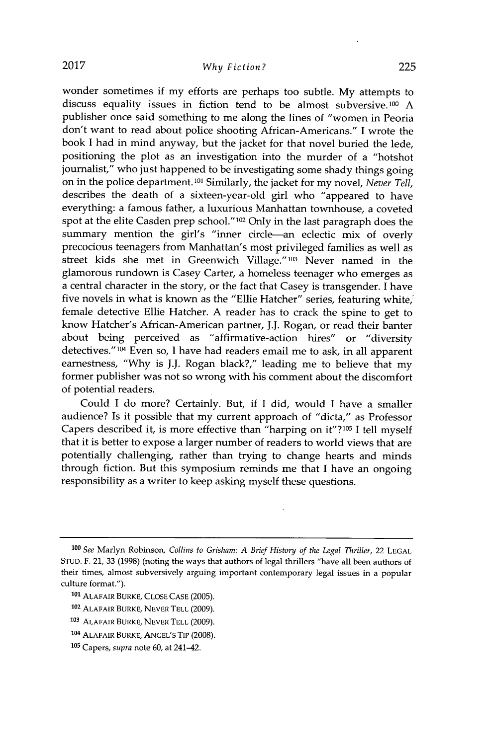wonder sometimes if my efforts are perhaps too subtle. **My** attempts to discuss equality issues in fiction tend to be almost subversive.<sup>100</sup>**A** publisher once said something to me along the lines of "women in Peoria don't want to read about police shooting African-Americans." **I** wrote the book **I** had in mind anyway, but the jacket for that novel buried the lede, positioning the plot as an investigation into the murder of a "hotshot journalist," who just happened to be investigating some shady things going on in the police department."o' Similarly, the jacket for my novel, *Never Tell,* describes the death of a sixteen-year-old girl who "appeared to have everything: a famous father, a luxurious Manhattan townhouse, a coveted spot at the elite Casden prep school."<sup>102</sup> Only in the last paragraph does the summary mention the girl's "inner circle-an eclectic mix of overly precocious teenagers from Manhattan's most privileged families as well as street kids she met in Greenwich Village."<sup>103</sup> Never named in the glamorous rundown is Casey Carter, a homeless teenager who emerges as a central character in the story, or the fact that Casey is transgender. I have five novels in what is known as the "Ellie Hatcher" series, featuring white, female detective Ellie Hatcher. **A** reader has to crack the spine to get to know Hatcher's African-American partner, **J.J.** Rogan, or read their banter about being perceived as "affirmative-action hires" or "diversity detectives." <sup>104</sup>Even so, **I** have had readers email me to ask, in all apparent earnestness, **"Why** is **J.J.** Rogan black?," leading me to believe that my former publisher was not so wrong with his comment about the discomfort of potential readers.

Could **I** do more? Certainly. But, if **I** did, would I have a smaller audience? Is it possible that my current approach of "dicta," as Professor Capers described it, is more effective than "harping on it"?10s I tell myself that it is better to expose a larger number of readers to world views that are potentially challenging, rather than trying to change hearts and minds through fiction. But this symposium reminds me that **I** have an ongoing responsibility as a writer to keep asking myself these questions.

*<sup>100</sup>See* Marlyn Robinson, *Collins to Grisham: A Brief History of the Legal Thriller,* 22 **LEGAL STUD.** F. 21, **33 (1998)** (noting the ways that authors of legal thrillers "have all been authors of their times, almost subversively arguing important contemporary legal issues in a popular culture format.").

**<sup>101</sup>** ALAFAIR BURKE, **CLOSE CASE (2005).**

**<sup>102</sup> ALAFAIR BURKE, NEVER TELL (2009).**

**<sup>103</sup>**ALAFAIR BURKE, NEVER TELL **(2009).**

**<sup>104</sup>**ALAFAIR BURKE, ANGEL'S TiP **(2008).**

**<sup>105</sup>**Capers, *supra* note **60,** at 241-42.